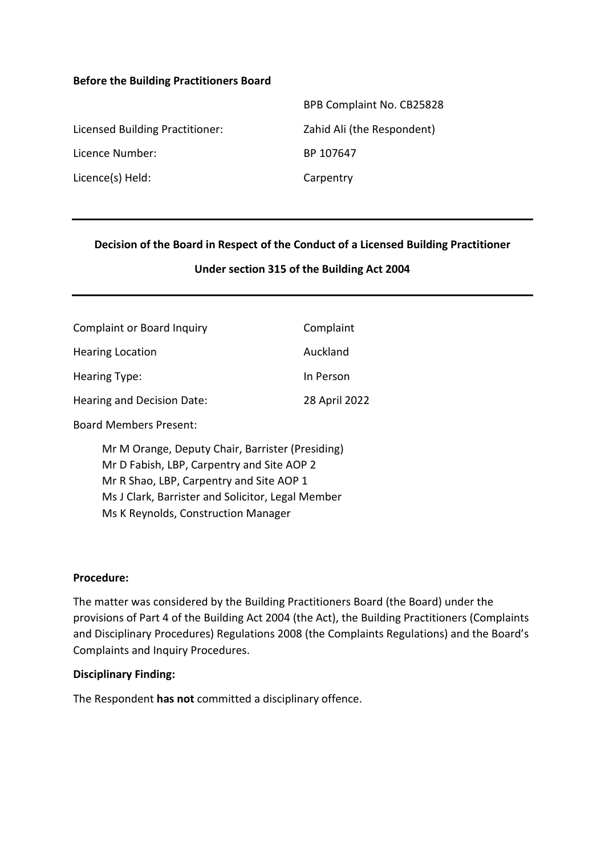#### **Before the Building Practitioners Board**

|                                 | BPB Complaint No. CB25828  |
|---------------------------------|----------------------------|
| Licensed Building Practitioner: | Zahid Ali (the Respondent) |
| Licence Number:                 | BP 107647                  |
| Licence(s) Held:                | Carpentry                  |

#### **Decision of the Board in Respect of the Conduct of a Licensed Building Practitioner**

#### **Under section 315 of the Building Act 2004**

| <b>Complaint or Board Inquiry</b> | Complaint     |
|-----------------------------------|---------------|
| <b>Hearing Location</b>           | Auckland      |
| Hearing Type:                     | In Person     |
| Hearing and Decision Date:        | 28 April 2022 |
|                                   |               |

Board Members Present:

Mr M Orange, Deputy Chair, Barrister (Presiding) Mr D Fabish, LBP, Carpentry and Site AOP 2 Mr R Shao, LBP, Carpentry and Site AOP 1 Ms J Clark, Barrister and Solicitor, Legal Member Ms K Reynolds, Construction Manager

#### **Procedure:**

The matter was considered by the Building Practitioners Board (the Board) under the provisions of Part 4 of the Building Act 2004 (the Act), the Building Practitioners (Complaints and Disciplinary Procedures) Regulations 2008 (the Complaints Regulations) and the Board's Complaints and Inquiry Procedures.

#### **Disciplinary Finding:**

The Respondent **has not** committed a disciplinary offence.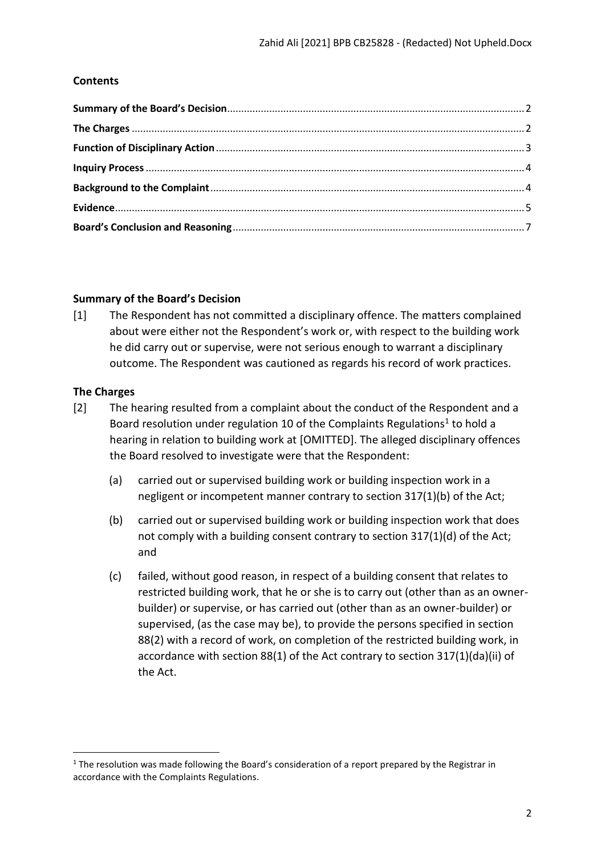## **Contents**

## <span id="page-1-0"></span>**Summary of the Board's Decision**

[1] The Respondent has not committed a disciplinary offence. The matters complained about were either not the Respondent's work or, with respect to the building work he did carry out or supervise, were not serious enough to warrant a disciplinary outcome. The Respondent was cautioned as regards his record of work practices.

## <span id="page-1-1"></span>**The Charges**

- [2] The hearing resulted from a complaint about the conduct of the Respondent and a Board resolution under regulation 10 of the Complaints Regulations<sup>1</sup> to hold a hearing in relation to building work at [OMITTED]. The alleged disciplinary offences the Board resolved to investigate were that the Respondent:
	- (a) carried out or supervised building work or building inspection work in a negligent or incompetent manner contrary to section 317(1)(b) of the Act;
	- (b) carried out or supervised building work or building inspection work that does not comply with a building consent contrary to section 317(1)(d) of the Act; and
	- (c) failed, without good reason, in respect of a building consent that relates to restricted building work, that he or she is to carry out (other than as an ownerbuilder) or supervise, or has carried out (other than as an owner-builder) or supervised, (as the case may be), to provide the persons specified in section 88(2) with a record of work, on completion of the restricted building work, in accordance with section 88(1) of the Act contrary to section 317(1)(da)(ii) of the Act.

 $1$  The resolution was made following the Board's consideration of a report prepared by the Registrar in accordance with the Complaints Regulations.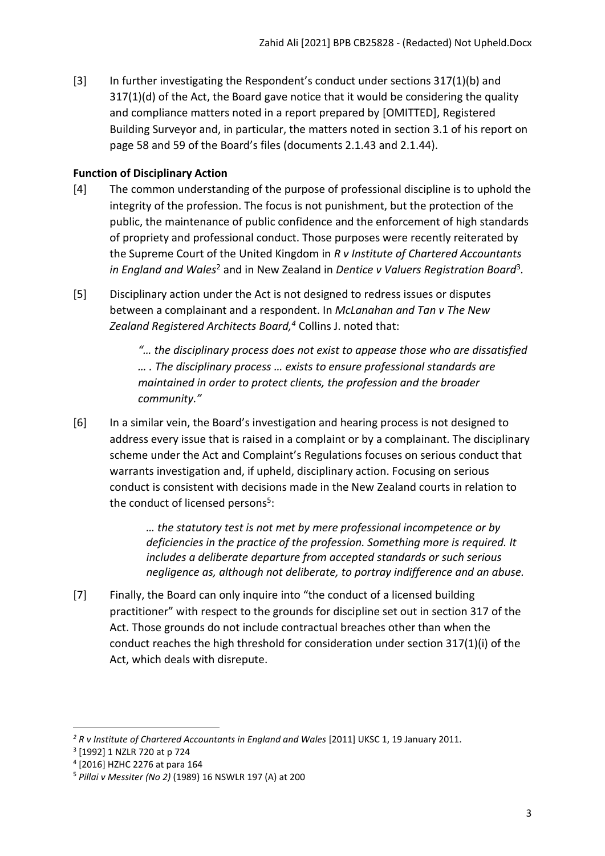[3] In further investigating the Respondent's conduct under sections 317(1)(b) and 317(1)(d) of the Act, the Board gave notice that it would be considering the quality and compliance matters noted in a report prepared by [OMITTED], Registered Building Surveyor and, in particular, the matters noted in section 3.1 of his report on page 58 and 59 of the Board's files (documents 2.1.43 and 2.1.44).

# <span id="page-2-0"></span>**Function of Disciplinary Action**

- [4] The common understanding of the purpose of professional discipline is to uphold the integrity of the profession. The focus is not punishment, but the protection of the public, the maintenance of public confidence and the enforcement of high standards of propriety and professional conduct. Those purposes were recently reiterated by the Supreme Court of the United Kingdom in *R v Institute of Chartered Accountants*  in England and Wales<sup>2</sup> and in New Zealand in Dentice v Valuers Registration Board<sup>3</sup>.
- [5] Disciplinary action under the Act is not designed to redress issues or disputes between a complainant and a respondent. In *McLanahan and Tan v The New Zealand Registered Architects Board, <sup>4</sup>* Collins J. noted that:

*"… the disciplinary process does not exist to appease those who are dissatisfied … . The disciplinary process … exists to ensure professional standards are maintained in order to protect clients, the profession and the broader community."*

[6] In a similar vein, the Board's investigation and hearing process is not designed to address every issue that is raised in a complaint or by a complainant. The disciplinary scheme under the Act and Complaint's Regulations focuses on serious conduct that warrants investigation and, if upheld, disciplinary action. Focusing on serious conduct is consistent with decisions made in the New Zealand courts in relation to the conduct of licensed persons<sup>5</sup>:

> *… the statutory test is not met by mere professional incompetence or by deficiencies in the practice of the profession. Something more is required. It includes a deliberate departure from accepted standards or such serious negligence as, although not deliberate, to portray indifference and an abuse.*

[7] Finally, the Board can only inquire into "the conduct of a licensed building practitioner" with respect to the grounds for discipline set out in section 317 of the Act. Those grounds do not include contractual breaches other than when the conduct reaches the high threshold for consideration under section 317(1)(i) of the Act, which deals with disrepute.

<sup>&</sup>lt;sup>2</sup> R v Institute of Chartered Accountants in England and Wales [2011] UKSC 1, 19 January 2011.

<sup>3</sup> [1992] 1 NZLR 720 at p 724

<sup>4</sup> [2016] HZHC 2276 at para 164

<sup>5</sup> *Pillai v Messiter (No 2)* (1989) 16 NSWLR 197 (A) at 200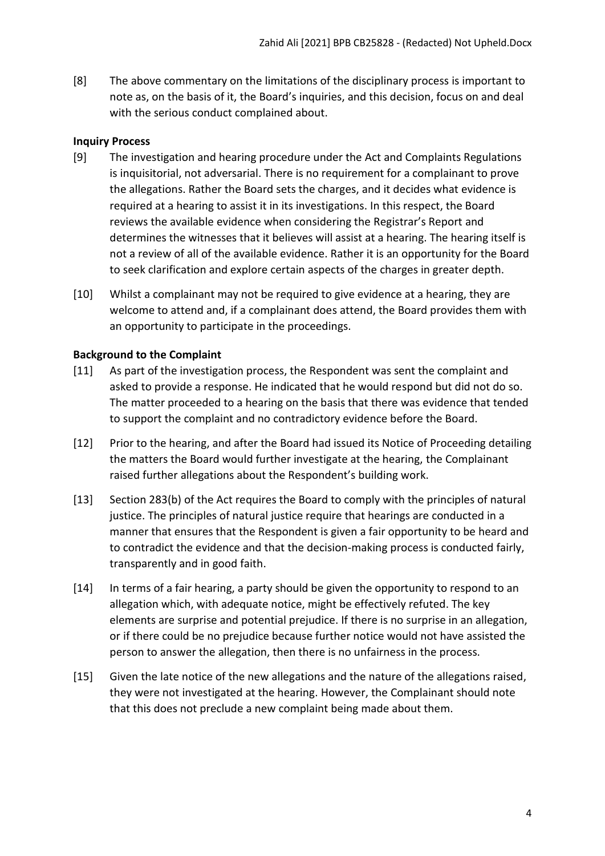[8] The above commentary on the limitations of the disciplinary process is important to note as, on the basis of it, the Board's inquiries, and this decision, focus on and deal with the serious conduct complained about.

## <span id="page-3-0"></span>**Inquiry Process**

- [9] The investigation and hearing procedure under the Act and Complaints Regulations is inquisitorial, not adversarial. There is no requirement for a complainant to prove the allegations. Rather the Board sets the charges, and it decides what evidence is required at a hearing to assist it in its investigations. In this respect, the Board reviews the available evidence when considering the Registrar's Report and determines the witnesses that it believes will assist at a hearing. The hearing itself is not a review of all of the available evidence. Rather it is an opportunity for the Board to seek clarification and explore certain aspects of the charges in greater depth.
- [10] Whilst a complainant may not be required to give evidence at a hearing, they are welcome to attend and, if a complainant does attend, the Board provides them with an opportunity to participate in the proceedings.

## <span id="page-3-1"></span>**Background to the Complaint**

- [11] As part of the investigation process, the Respondent was sent the complaint and asked to provide a response. He indicated that he would respond but did not do so. The matter proceeded to a hearing on the basis that there was evidence that tended to support the complaint and no contradictory evidence before the Board.
- [12] Prior to the hearing, and after the Board had issued its Notice of Proceeding detailing the matters the Board would further investigate at the hearing, the Complainant raised further allegations about the Respondent's building work.
- [13] Section 283(b) of the Act requires the Board to comply with the principles of natural justice. The principles of natural justice require that hearings are conducted in a manner that ensures that the Respondent is given a fair opportunity to be heard and to contradict the evidence and that the decision-making process is conducted fairly, transparently and in good faith.
- [14] In terms of a fair hearing, a party should be given the opportunity to respond to an allegation which, with adequate notice, might be effectively refuted. The key elements are surprise and potential prejudice. If there is no surprise in an allegation, or if there could be no prejudice because further notice would not have assisted the person to answer the allegation, then there is no unfairness in the process.
- [15] Given the late notice of the new allegations and the nature of the allegations raised, they were not investigated at the hearing. However, the Complainant should note that this does not preclude a new complaint being made about them.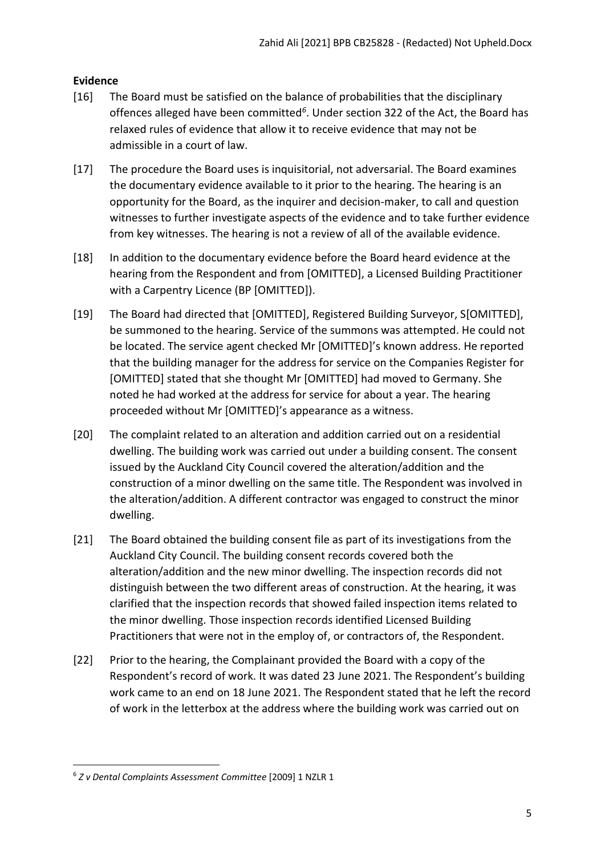# <span id="page-4-0"></span>**Evidence**

- [16] The Board must be satisfied on the balance of probabilities that the disciplinary offences alleged have been committed*<sup>6</sup>* . Under section 322 of the Act, the Board has relaxed rules of evidence that allow it to receive evidence that may not be admissible in a court of law.
- [17] The procedure the Board uses is inquisitorial, not adversarial. The Board examines the documentary evidence available to it prior to the hearing. The hearing is an opportunity for the Board, as the inquirer and decision-maker, to call and question witnesses to further investigate aspects of the evidence and to take further evidence from key witnesses. The hearing is not a review of all of the available evidence.
- [18] In addition to the documentary evidence before the Board heard evidence at the hearing from the Respondent and from [OMITTED], a Licensed Building Practitioner with a Carpentry Licence (BP [OMITTED]).
- [19] The Board had directed that [OMITTED], Registered Building Surveyor, S[OMITTED], be summoned to the hearing. Service of the summons was attempted. He could not be located. The service agent checked Mr [OMITTED]'s known address. He reported that the building manager for the address for service on the Companies Register for [OMITTED] stated that she thought Mr [OMITTED] had moved to Germany. She noted he had worked at the address for service for about a year. The hearing proceeded without Mr [OMITTED]'s appearance as a witness.
- [20] The complaint related to an alteration and addition carried out on a residential dwelling. The building work was carried out under a building consent. The consent issued by the Auckland City Council covered the alteration/addition and the construction of a minor dwelling on the same title. The Respondent was involved in the alteration/addition. A different contractor was engaged to construct the minor dwelling.
- [21] The Board obtained the building consent file as part of its investigations from the Auckland City Council. The building consent records covered both the alteration/addition and the new minor dwelling. The inspection records did not distinguish between the two different areas of construction. At the hearing, it was clarified that the inspection records that showed failed inspection items related to the minor dwelling. Those inspection records identified Licensed Building Practitioners that were not in the employ of, or contractors of, the Respondent.
- [22] Prior to the hearing, the Complainant provided the Board with a copy of the Respondent's record of work. It was dated 23 June 2021. The Respondent's building work came to an end on 18 June 2021. The Respondent stated that he left the record of work in the letterbox at the address where the building work was carried out on

<sup>6</sup> *Z v Dental Complaints Assessment Committee* [2009] 1 NZLR 1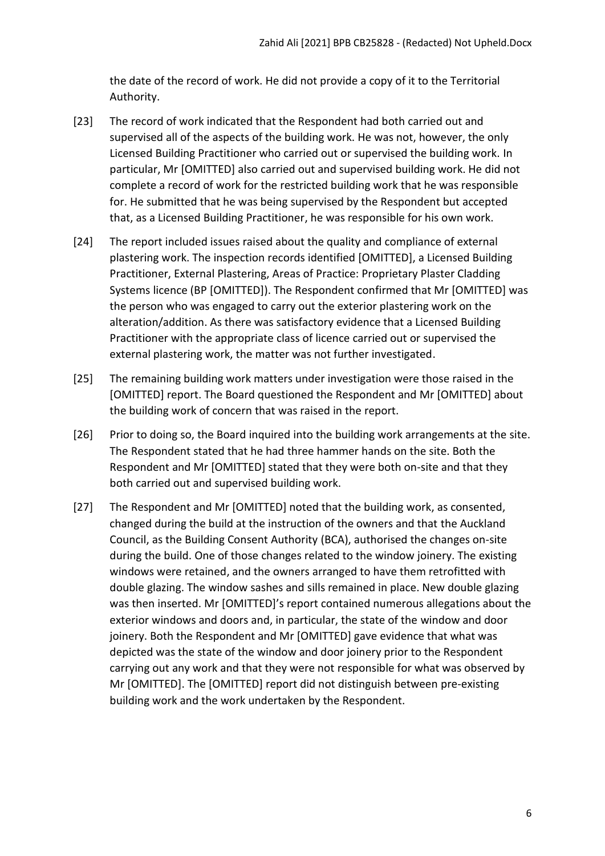the date of the record of work. He did not provide a copy of it to the Territorial Authority.

- [23] The record of work indicated that the Respondent had both carried out and supervised all of the aspects of the building work. He was not, however, the only Licensed Building Practitioner who carried out or supervised the building work. In particular, Mr [OMITTED] also carried out and supervised building work. He did not complete a record of work for the restricted building work that he was responsible for. He submitted that he was being supervised by the Respondent but accepted that, as a Licensed Building Practitioner, he was responsible for his own work.
- [24] The report included issues raised about the quality and compliance of external plastering work. The inspection records identified [OMITTED], a Licensed Building Practitioner, External Plastering, Areas of Practice: Proprietary Plaster Cladding Systems licence (BP [OMITTED]). The Respondent confirmed that Mr [OMITTED] was the person who was engaged to carry out the exterior plastering work on the alteration/addition. As there was satisfactory evidence that a Licensed Building Practitioner with the appropriate class of licence carried out or supervised the external plastering work, the matter was not further investigated.
- [25] The remaining building work matters under investigation were those raised in the [OMITTED] report. The Board questioned the Respondent and Mr [OMITTED] about the building work of concern that was raised in the report.
- [26] Prior to doing so, the Board inquired into the building work arrangements at the site. The Respondent stated that he had three hammer hands on the site. Both the Respondent and Mr [OMITTED] stated that they were both on-site and that they both carried out and supervised building work.
- [27] The Respondent and Mr [OMITTED] noted that the building work, as consented, changed during the build at the instruction of the owners and that the Auckland Council, as the Building Consent Authority (BCA), authorised the changes on-site during the build. One of those changes related to the window joinery. The existing windows were retained, and the owners arranged to have them retrofitted with double glazing. The window sashes and sills remained in place. New double glazing was then inserted. Mr [OMITTED]'s report contained numerous allegations about the exterior windows and doors and, in particular, the state of the window and door joinery. Both the Respondent and Mr [OMITTED] gave evidence that what was depicted was the state of the window and door joinery prior to the Respondent carrying out any work and that they were not responsible for what was observed by Mr [OMITTED]. The [OMITTED] report did not distinguish between pre-existing building work and the work undertaken by the Respondent.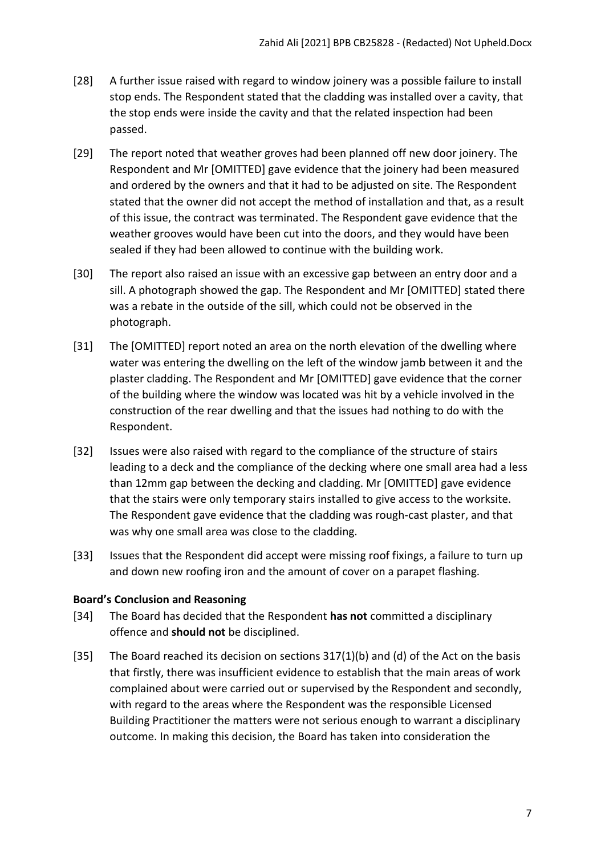- [28] A further issue raised with regard to window joinery was a possible failure to install stop ends. The Respondent stated that the cladding was installed over a cavity, that the stop ends were inside the cavity and that the related inspection had been passed.
- [29] The report noted that weather groves had been planned off new door joinery. The Respondent and Mr [OMITTED] gave evidence that the joinery had been measured and ordered by the owners and that it had to be adjusted on site. The Respondent stated that the owner did not accept the method of installation and that, as a result of this issue, the contract was terminated. The Respondent gave evidence that the weather grooves would have been cut into the doors, and they would have been sealed if they had been allowed to continue with the building work.
- [30] The report also raised an issue with an excessive gap between an entry door and a sill. A photograph showed the gap. The Respondent and Mr [OMITTED] stated there was a rebate in the outside of the sill, which could not be observed in the photograph.
- [31] The [OMITTED] report noted an area on the north elevation of the dwelling where water was entering the dwelling on the left of the window jamb between it and the plaster cladding. The Respondent and Mr [OMITTED] gave evidence that the corner of the building where the window was located was hit by a vehicle involved in the construction of the rear dwelling and that the issues had nothing to do with the Respondent.
- [32] Issues were also raised with regard to the compliance of the structure of stairs leading to a deck and the compliance of the decking where one small area had a less than 12mm gap between the decking and cladding. Mr [OMITTED] gave evidence that the stairs were only temporary stairs installed to give access to the worksite. The Respondent gave evidence that the cladding was rough-cast plaster, and that was why one small area was close to the cladding.
- [33] Issues that the Respondent did accept were missing roof fixings, a failure to turn up and down new roofing iron and the amount of cover on a parapet flashing.

## <span id="page-6-0"></span>**Board's Conclusion and Reasoning**

- [34] The Board has decided that the Respondent **has not** committed a disciplinary offence and **should not** be disciplined.
- [35] The Board reached its decision on sections 317(1)(b) and (d) of the Act on the basis that firstly, there was insufficient evidence to establish that the main areas of work complained about were carried out or supervised by the Respondent and secondly, with regard to the areas where the Respondent was the responsible Licensed Building Practitioner the matters were not serious enough to warrant a disciplinary outcome. In making this decision, the Board has taken into consideration the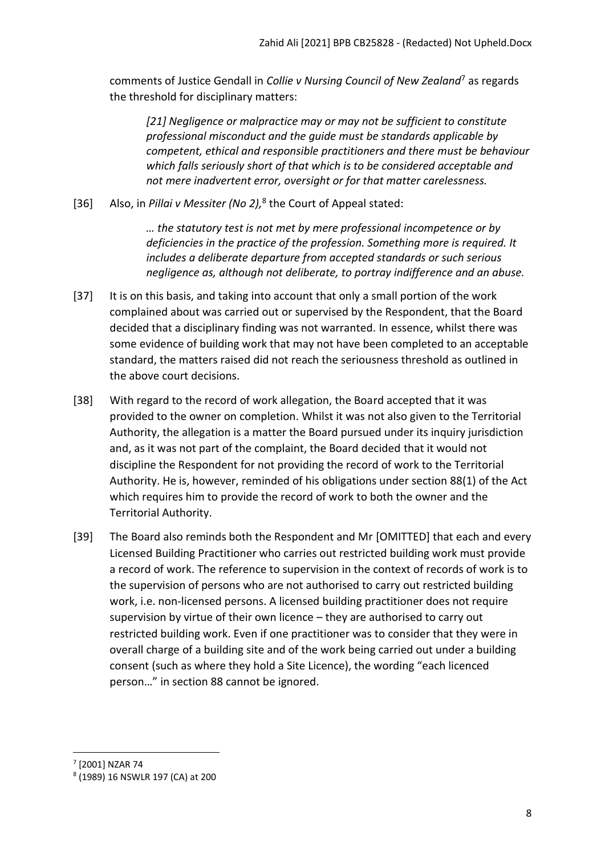comments of Justice Gendall in *Collie v Nursing Council of New Zealand*<sup>7</sup> as regards the threshold for disciplinary matters:

*[21] Negligence or malpractice may or may not be sufficient to constitute professional misconduct and the guide must be standards applicable by competent, ethical and responsible practitioners and there must be behaviour which falls seriously short of that which is to be considered acceptable and not mere inadvertent error, oversight or for that matter carelessness.*

[36] Also, in *Pillai v Messiter (No 2),* 8 the Court of Appeal stated:

*… the statutory test is not met by mere professional incompetence or by deficiencies in the practice of the profession. Something more is required. It includes a deliberate departure from accepted standards or such serious negligence as, although not deliberate, to portray indifference and an abuse.*

- [37] It is on this basis, and taking into account that only a small portion of the work complained about was carried out or supervised by the Respondent, that the Board decided that a disciplinary finding was not warranted. In essence, whilst there was some evidence of building work that may not have been completed to an acceptable standard, the matters raised did not reach the seriousness threshold as outlined in the above court decisions.
- [38] With regard to the record of work allegation, the Board accepted that it was provided to the owner on completion. Whilst it was not also given to the Territorial Authority, the allegation is a matter the Board pursued under its inquiry jurisdiction and, as it was not part of the complaint, the Board decided that it would not discipline the Respondent for not providing the record of work to the Territorial Authority. He is, however, reminded of his obligations under section 88(1) of the Act which requires him to provide the record of work to both the owner and the Territorial Authority.
- [39] The Board also reminds both the Respondent and Mr [OMITTED] that each and every Licensed Building Practitioner who carries out restricted building work must provide a record of work. The reference to supervision in the context of records of work is to the supervision of persons who are not authorised to carry out restricted building work, i.e. non-licensed persons. A licensed building practitioner does not require supervision by virtue of their own licence – they are authorised to carry out restricted building work. Even if one practitioner was to consider that they were in overall charge of a building site and of the work being carried out under a building consent (such as where they hold a Site Licence), the wording "each licenced person…" in section 88 cannot be ignored.

<sup>7</sup> [2001] NZAR 74

<sup>8</sup> (1989) 16 NSWLR 197 (CA) at 200